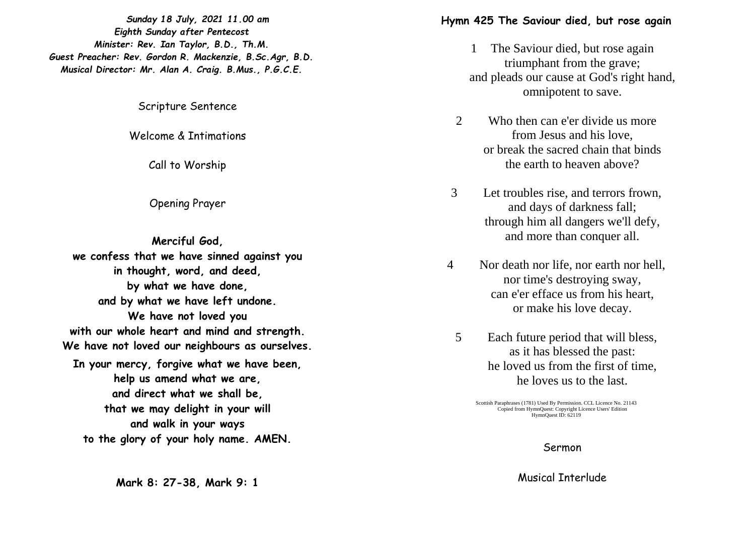*Sunday 1 8 July, 2021 11.00 am Eighth Sunday after Pentecost Minister: Rev. Ian Taylor, B.D., Th.M. Guest Preacher: Rev. Gordon R. Mackenzie, B.Sc.Agr, B.D. Musical Director: Mr. Alan A. Craig. B.Mus., P.G.C.E.*

Scripture Sentence

Welcome & Intimations

Call to Worship

Opening Prayer

**Merciful God, we confess that we have sinned against you in thought, word, and deed, by what we have done, and by what we have left undone. We have not loved you with our whole heart and mind and strength. We have not loved our neighbours as ourselves. In your mercy, forgive what we have been, help us amend what we are, and direct what we shall be, that we may delight in your will and walk in your ways to the glory of your holy name. AMEN.**

**Mark 8 : 27 - 3 8, Mark 9: 1**

## **Hymn 425 The Saviour died, but rose again**

- 1 The Saviour died, but rose again triumphant from the grave; and pleads our cause at God's right hand, omnipotent to save.
- 2 Who then can e'er divide us more from Jesus and his love, or break the sacred chain that binds the earth to heaven above?
- 3 Let troubles rise, and terrors frown, and days of darkness fall; through him all dangers we'll defy, and more than conquer all.
- 4 Nor death nor life, nor earth nor hell, nor time's destroying sway, can e'er efface us from his heart, or make his love decay.
	- 5 Each future period that will bless, as it has blessed the past : he loved us from the first of time, he loves us to the last.

Scottish Paraphrases (1781) Used By Permission. CCL Licence No. 21143 Copied from HymnQuest: Copyright Licence Users' Edition HymnQuest ID: 62119

Sermon

Musical Interlude